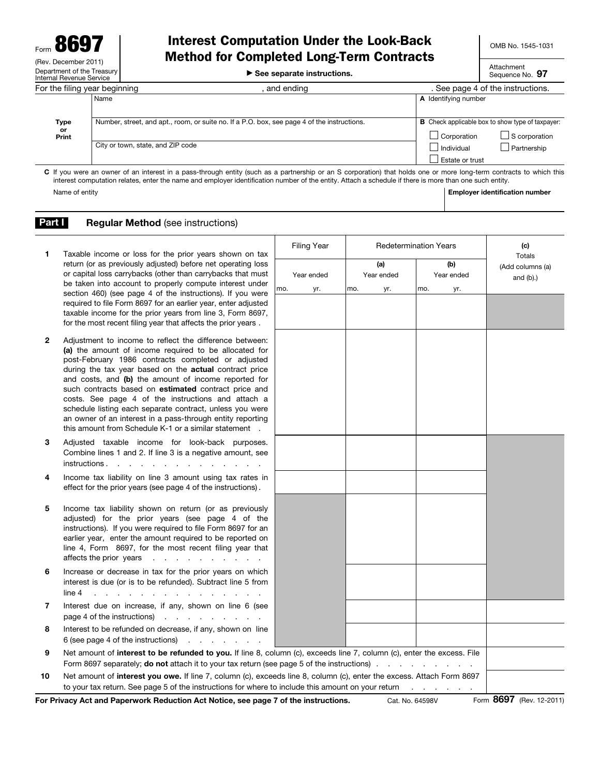## Interest Computation Under the Look-Back Method for Completed Long-Term Contracts

▶ See separate instructions.

Attachment Sequence No. 97

| For the filing year beginning                                                                                                                                       |                                                                                             | and ending                                                                                            | . See page 4 of the instructions. |             |  |  |
|---------------------------------------------------------------------------------------------------------------------------------------------------------------------|---------------------------------------------------------------------------------------------|-------------------------------------------------------------------------------------------------------|-----------------------------------|-------------|--|--|
|                                                                                                                                                                     | Name                                                                                        |                                                                                                       | A Identifying number              |             |  |  |
| Type<br>or<br>Print                                                                                                                                                 | Number, street, and apt., room, or suite no. If a P.O. box, see page 4 of the instructions. | <b>B</b> Check applicable box to show type of taxpayer:<br>$\Box$ S corporation<br>$\Box$ Corporation |                                   |             |  |  |
|                                                                                                                                                                     | City or town, state, and ZIP code                                                           |                                                                                                       | Individual<br>Estate or trust     | Partnership |  |  |
| C If you were an owner of an interest in a pass-through entity (such as a partnership or an S corporation) that holds one or more long-term contracts to which this |                                                                                             |                                                                                                       |                                   |             |  |  |

C If you were an owner of an interest in a pass-through entity (such as a partnership or an S corporation) that holds one or more long-term contracts to which this interest computation relates, enter the name and employer identification number of the entity. Attach a schedule if there is more than one such entity. Name of entity **Employer identification number**  $\blacksquare$  Employer identification number

## **Part I** Regular Method (see instructions)

| 1            | Taxable income or loss for the prior years shown on tax                                                                                                                                                                                                                                                                                                                                                                                                                                                                                                                                          |     | <b>Filing Year</b> | <b>Redetermination Years</b> |                   |     |                   |     | (c)                                        |
|--------------|--------------------------------------------------------------------------------------------------------------------------------------------------------------------------------------------------------------------------------------------------------------------------------------------------------------------------------------------------------------------------------------------------------------------------------------------------------------------------------------------------------------------------------------------------------------------------------------------------|-----|--------------------|------------------------------|-------------------|-----|-------------------|-----|--------------------------------------------|
|              | return (or as previously adjusted) before net operating loss<br>or capital loss carrybacks (other than carrybacks that must<br>be taken into account to properly compute interest under                                                                                                                                                                                                                                                                                                                                                                                                          |     | Year ended         |                              | (a)<br>Year ended |     | (b)<br>Year ended |     | Totals<br>(Add columns (a)<br>and $(b)$ .) |
|              | section 460) (see page 4 of the instructions). If you were<br>required to file Form 8697 for an earlier year, enter adjusted<br>taxable income for the prior years from line 3, Form 8697,<br>for the most recent filing year that affects the prior years.                                                                                                                                                                                                                                                                                                                                      | mo. | yr.                | mo.                          | yr.               | mo. |                   | yr. |                                            |
| $\mathbf{2}$ | Adjustment to income to reflect the difference between:<br>(a) the amount of income required to be allocated for<br>post-February 1986 contracts completed or adjusted<br>during the tax year based on the <b>actual</b> contract price<br>and costs, and (b) the amount of income reported for<br>such contracts based on estimated contract price and<br>costs. See page 4 of the instructions and attach a<br>schedule listing each separate contract, unless you were<br>an owner of an interest in a pass-through entity reporting<br>this amount from Schedule K-1 or a similar statement. |     |                    |                              |                   |     |                   |     |                                            |
| 3            | Adjusted taxable income for look-back purposes.<br>Combine lines 1 and 2. If line 3 is a negative amount, see<br>instructions                                                                                                                                                                                                                                                                                                                                                                                                                                                                    |     |                    |                              |                   |     |                   |     |                                            |
| 4            | Income tax liability on line 3 amount using tax rates in<br>effect for the prior years (see page 4 of the instructions).                                                                                                                                                                                                                                                                                                                                                                                                                                                                         |     |                    |                              |                   |     |                   |     |                                            |
| 5            | Income tax liability shown on return (or as previously<br>adjusted) for the prior years (see page 4 of the<br>instructions). If you were required to file Form 8697 for an<br>earlier year, enter the amount required to be reported on<br>line 4, Form 8697, for the most recent filing year that<br>affects the prior years experience of the state of the state of the state of the state of the state of the state of the state of the state of the state of the state of the state of the state of the state of the state of th                                                             |     |                    |                              |                   |     |                   |     |                                            |
| 6            | Increase or decrease in tax for the prior years on which<br>interest is due (or is to be refunded). Subtract line 5 from<br>line 4<br>and the contract of the contract of the contract of                                                                                                                                                                                                                                                                                                                                                                                                        |     |                    |                              |                   |     |                   |     |                                            |
| 7            | Interest due on increase, if any, shown on line 6 (see<br>page 4 of the instructions)                                                                                                                                                                                                                                                                                                                                                                                                                                                                                                            |     |                    |                              |                   |     |                   |     |                                            |
| 8            | Interest to be refunded on decrease, if any, shown on line<br>and the company of the company<br>6 (see page 4 of the instructions)                                                                                                                                                                                                                                                                                                                                                                                                                                                               |     |                    |                              |                   |     |                   |     |                                            |
| 9            | Net amount of interest to be refunded to you. If line 8, column (c), exceeds line 7, column (c), enter the excess. File<br>Form 8697 separately; do not attach it to your tax return (see page 5 of the instructions)                                                                                                                                                                                                                                                                                                                                                                            |     |                    |                              |                   |     |                   |     |                                            |
| 10           | Net amount of interest you owe. If line 7, column (c), exceeds line 8, column (c), enter the excess. Attach Form 8697<br>to your tax return. See page 5 of the instructions for where to include this amount on your return                                                                                                                                                                                                                                                                                                                                                                      |     |                    |                              |                   |     |                   |     |                                            |

For Privacy Act and Paperwork Reduction Act Notice, see page 7 of the instructions. Cat. No. 64598V Form 8697 (Rev. 12-2011)